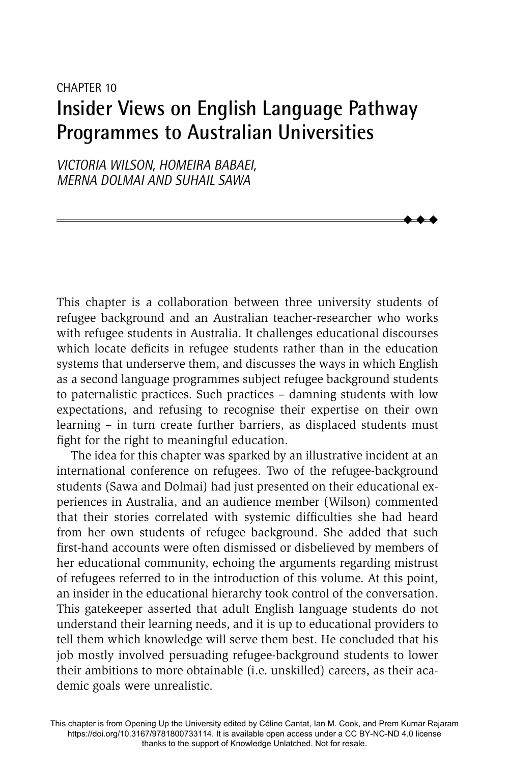# CHAPTER 10 **Insider Views on English Language Pathway Programmes to Australian Universities**

*VICTORIA WILSON, HOMEIRA BABAEI, MERNA DOLMAI AND SUHAIL SAWA*

This chapter is a collaboration between three university students of refugee background and an Australian teacher-researcher who works with refugee students in Australia. It challenges educational discourses which locate deficits in refugee students rather than in the education systems that underserve them, and discusses the ways in which English as a second language programmes subject refugee background students to paternalistic practices. Such practices – damning students with low expectations, and refusing to recognise their expertise on their own learning – in turn create further barriers, as displaced students must fight for the right to meaningful education.

 $\blacklozenge$  $\blacklozenge$  $\blacklozenge$ 

The idea for this chapter was sparked by an illustrative incident at an international conference on refugees. Two of the refugee-background students (Sawa and Dolmai) had just presented on their educational experiences in Australia, and an audience member (Wilson) commented that their stories correlated with systemic difficulties she had heard from her own students of refugee background. She added that such first-hand accounts were often dismissed or disbelieved by members of her educational community, echoing the arguments regarding mistrust of refugees referred to in the introduction of this volume. At this point, an insider in the educational hierarchy took control of the conversation. This gatekeeper asserted that adult English language students do not understand their learning needs, and it is up to educational providers to tell them which knowledge will serve them best. He concluded that his job mostly involved persuading refugee-background students to lower their ambitions to more obtainable (i.e. unskilled) careers, as their academic goals were unrealistic.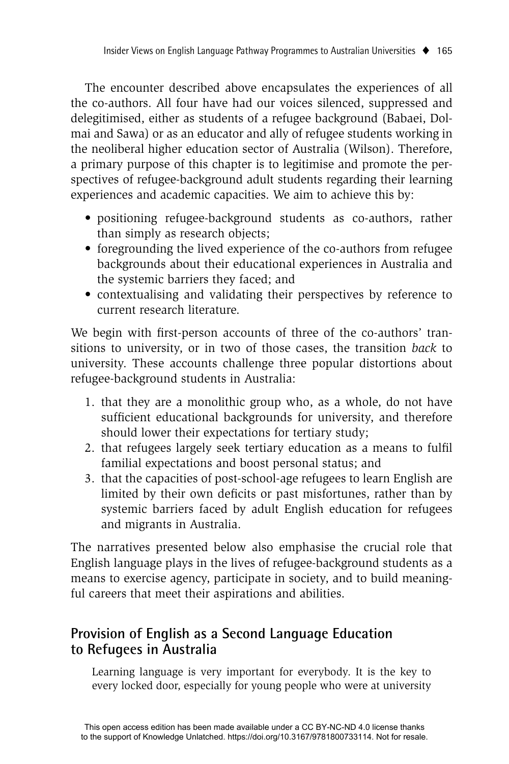The encounter described above encapsulates the experiences of all the co-authors. All four have had our voices silenced, suppressed and delegitimised, either as students of a refugee background (Babaei, Dolmai and Sawa) or as an educator and ally of refugee students working in the neoliberal higher education sector of Australia (Wilson). Therefore, a primary purpose of this chapter is to legitimise and promote the perspectives of refugee-background adult students regarding their learning experiences and academic capacities. We aim to achieve this by:

- positioning refugee-background students as co-authors, rather than simply as research objects;
- foregrounding the lived experience of the co-authors from refugee backgrounds about their educational experiences in Australia and the systemic barriers they faced; and
- contextualising and validating their perspectives by reference to current research literature.

We begin with first-person accounts of three of the co-authors' transitions to university, or in two of those cases, the transition *back* to university. These accounts challenge three popular distortions about refugee-background students in Australia:

- 1. that they are a monolithic group who, as a whole, do not have sufficient educational backgrounds for university, and therefore should lower their expectations for tertiary study;
- 2. that refugees largely seek tertiary education as a means to fulfil familial expectations and boost personal status; and
- 3. that the capacities of post-school-age refugees to learn English are limited by their own deficits or past misfortunes, rather than by systemic barriers faced by adult English education for refugees and migrants in Australia.

The narratives presented below also emphasise the crucial role that English language plays in the lives of refugee-background students as a means to exercise agency, participate in society, and to build meaningful careers that meet their aspirations and abilities.

# **Provision of English as a Second Language Education to Refugees in Australia**

Learning language is very important for everybody. It is the key to every locked door, especially for young people who were at university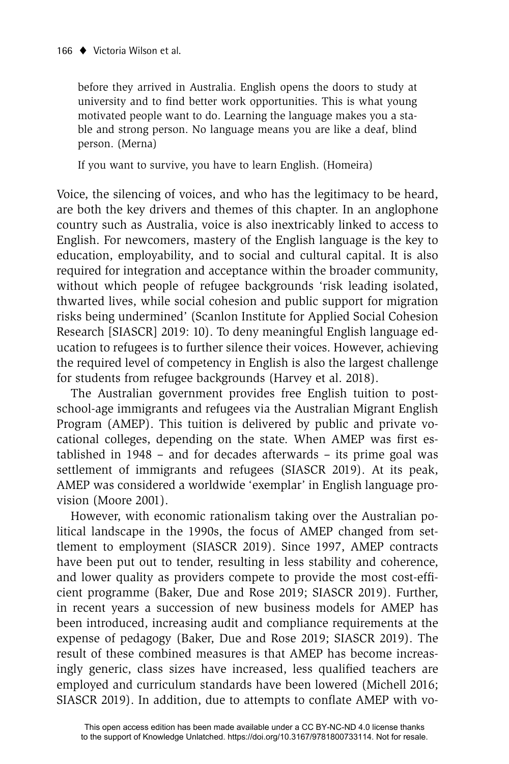before they arrived in Australia. English opens the doors to study at university and to find better work opportunities. This is what young motivated people want to do. Learning the language makes you a stable and strong person. No language means you are like a deaf, blind person. (Merna)

If you want to survive, you have to learn English. (Homeira)

Voice, the silencing of voices, and who has the legitimacy to be heard, are both the key drivers and themes of this chapter. In an anglophone country such as Australia, voice is also inextricably linked to access to English. For newcomers, mastery of the English language is the key to education, employability, and to social and cultural capital. It is also required for integration and acceptance within the broader community, without which people of refugee backgrounds 'risk leading isolated, thwarted lives, while social cohesion and public support for migration risks being undermined' (Scanlon Institute for Applied Social Cohesion Research [SIASCR] 2019: 10). To deny meaningful English language education to refugees is to further silence their voices. However, achieving the required level of competency in English is also the largest challenge for students from refugee backgrounds (Harvey et al. 2018).

The Australian government provides free English tuition to postschool-age immigrants and refugees via the Australian Migrant English Program (AMEP). This tuition is delivered by public and private vocational colleges, depending on the state. When AMEP was first established in 1948 – and for decades afterwards – its prime goal was settlement of immigrants and refugees (SIASCR 2019). At its peak, AMEP was considered a worldwide 'exemplar' in English language provision (Moore 2001).

However, with economic rationalism taking over the Australian political landscape in the 1990s, the focus of AMEP changed from settlement to employment (SIASCR 2019). Since 1997, AMEP contracts have been put out to tender, resulting in less stability and coherence, and lower quality as providers compete to provide the most cost-efficient programme (Baker, Due and Rose 2019; SIASCR 2019). Further, in recent years a succession of new business models for AMEP has been introduced, increasing audit and compliance requirements at the expense of pedagogy (Baker, Due and Rose 2019; SIASCR 2019). The result of these combined measures is that AMEP has become increasingly generic, class sizes have increased, less qualified teachers are employed and curriculum standards have been lowered (Michell 2016; SIASCR 2019). In addition, due to attempts to conflate AMEP with vo-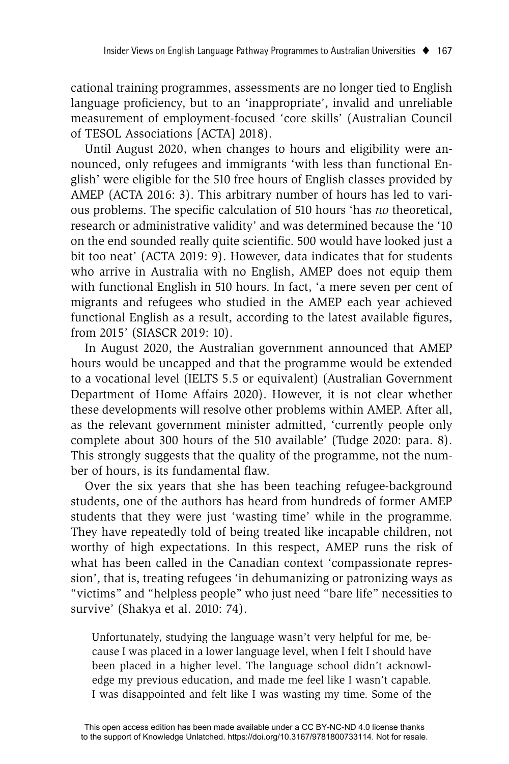cational training programmes, assessments are no longer tied to English language proficiency, but to an 'inappropriate', invalid and unreliable measurement of employment-focused 'core skills' (Australian Council of TESOL Associations [ACTA] 2018).

Until August 2020, when changes to hours and eligibility were announced, only refugees and immigrants 'with less than functional English' were eligible for the 510 free hours of English classes provided by AMEP (ACTA 2016: 3). This arbitrary number of hours has led to various problems. The specific calculation of 510 hours 'has *no* theoretical, research or administrative validity' and was determined because the '10 on the end sounded really quite scientific. 500 would have looked just a bit too neat' (ACTA 2019: 9). However, data indicates that for students who arrive in Australia with no English, AMEP does not equip them with functional English in 510 hours. In fact, 'a mere seven per cent of migrants and refugees who studied in the AMEP each year achieved functional English as a result, according to the latest available figures, from 2015' (SIASCR 2019: 10).

In August 2020, the Australian government announced that AMEP hours would be uncapped and that the programme would be extended to a vocational level (IELTS 5.5 or equivalent) (Australian Government Department of Home Affairs 2020). However, it is not clear whether these developments will resolve other problems within AMEP. After all, as the relevant government minister admitted, 'currently people only complete about 300 hours of the 510 available' (Tudge 2020: para. 8). This strongly suggests that the quality of the programme, not the number of hours, is its fundamental flaw.

Over the six years that she has been teaching refugee-background students, one of the authors has heard from hundreds of former AMEP students that they were just 'wasting time' while in the programme. They have repeatedly told of being treated like incapable children, not worthy of high expectations. In this respect, AMEP runs the risk of what has been called in the Canadian context 'compassionate repression', that is, treating refugees 'in dehumanizing or patronizing ways as "victims" and "helpless people" who just need "bare life" necessities to survive' (Shakya et al. 2010: 74).

Unfortunately, studying the language wasn't very helpful for me, because I was placed in a lower language level, when I felt I should have been placed in a higher level. The language school didn't acknowledge my previous education, and made me feel like I wasn't capable. I was disappointed and felt like I was wasting my time. Some of the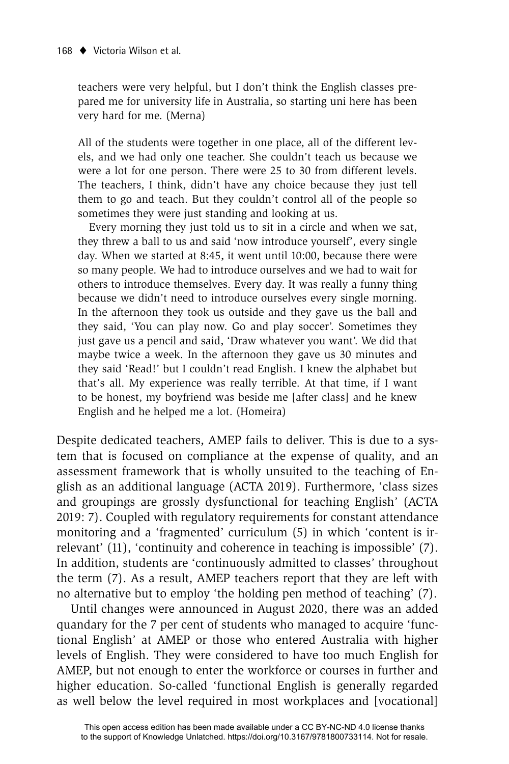teachers were very helpful, but I don't think the English classes prepared me for university life in Australia, so starting uni here has been very hard for me. (Merna)

All of the students were together in one place, all of the different levels, and we had only one teacher. She couldn't teach us because we were a lot for one person. There were 25 to 30 from different levels. The teachers, I think, didn't have any choice because they just tell them to go and teach. But they couldn't control all of the people so sometimes they were just standing and looking at us.

 Every morning they just told us to sit in a circle and when we sat, they threw a ball to us and said 'now introduce yourself', every single day. When we started at 8:45, it went until 10:00, because there were so many people. We had to introduce ourselves and we had to wait for others to introduce themselves. Every day. It was really a funny thing because we didn't need to introduce ourselves every single morning. In the afternoon they took us outside and they gave us the ball and they said, 'You can play now. Go and play soccer'. Sometimes they just gave us a pencil and said, 'Draw whatever you want'. We did that maybe twice a week. In the afternoon they gave us 30 minutes and they said 'Read!' but I couldn't read English. I knew the alphabet but that's all. My experience was really terrible. At that time, if I want to be honest, my boyfriend was beside me [after class] and he knew English and he helped me a lot. (Homeira)

Despite dedicated teachers, AMEP fails to deliver. This is due to a system that is focused on compliance at the expense of quality, and an assessment framework that is wholly unsuited to the teaching of English as an additional language (ACTA 2019). Furthermore, 'class sizes and groupings are grossly dysfunctional for teaching English' (ACTA 2019: 7). Coupled with regulatory requirements for constant attendance monitoring and a 'fragmented' curriculum (5) in which 'content is irrelevant' (11), 'continuity and coherence in teaching is impossible' (7). In addition, students are 'continuously admitted to classes' throughout the term (7). As a result, AMEP teachers report that they are left with no alternative but to employ 'the holding pen method of teaching' (7).

Until changes were announced in August 2020, there was an added quandary for the 7 per cent of students who managed to acquire 'functional English' at AMEP or those who entered Australia with higher levels of English. They were considered to have too much English for AMEP, but not enough to enter the workforce or courses in further and higher education. So-called 'functional English is generally regarded as well below the level required in most workplaces and [vocational]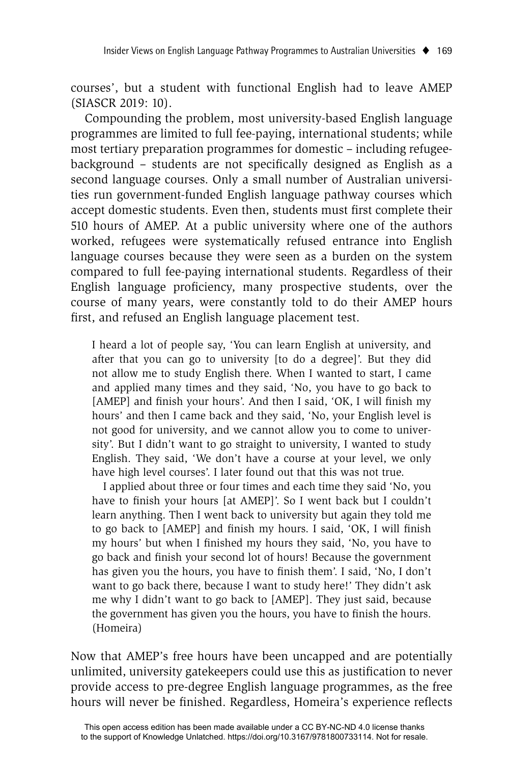courses', but a student with functional English had to leave AMEP (SIASCR 2019: 10).

Compounding the problem, most university-based English language programmes are limited to full fee-paying, international students; while most tertiary preparation programmes for domestic – including refugeebackground – students are not specifically designed as English as a second language courses. Only a small number of Australian universities run government-funded English language pathway courses which accept domestic students. Even then, students must first complete their 510 hours of AMEP. At a public university where one of the authors worked, refugees were systematically refused entrance into English language courses because they were seen as a burden on the system compared to full fee-paying international students. Regardless of their English language proficiency, many prospective students, over the course of many years, were constantly told to do their AMEP hours first, and refused an English language placement test.

I heard a lot of people say, 'You can learn English at university, and after that you can go to university [to do a degree]'. But they did not allow me to study English there. When I wanted to start, I came and applied many times and they said, 'No, you have to go back to [AMEP] and finish your hours'. And then I said, 'OK, I will finish my hours' and then I came back and they said, 'No, your English level is not good for university, and we cannot allow you to come to university'. But I didn't want to go straight to university, I wanted to study English. They said, 'We don't have a course at your level, we only have high level courses'. I later found out that this was not true.

 I applied about three or four times and each time they said 'No, you have to finish your hours [at AMEP]'. So I went back but I couldn't learn anything. Then I went back to university but again they told me to go back to [AMEP] and finish my hours. I said, 'OK, I will finish my hours' but when I finished my hours they said, 'No, you have to go back and finish your second lot of hours! Because the government has given you the hours, you have to finish them'. I said, 'No, I don't want to go back there, because I want to study here!' They didn't ask me why I didn't want to go back to [AMEP]. They just said, because the government has given you the hours, you have to finish the hours. (Homeira)

Now that AMEP's free hours have been uncapped and are potentially unlimited, university gatekeepers could use this as justification to never provide access to pre-degree English language programmes, as the free hours will never be finished. Regardless, Homeira's experience reflects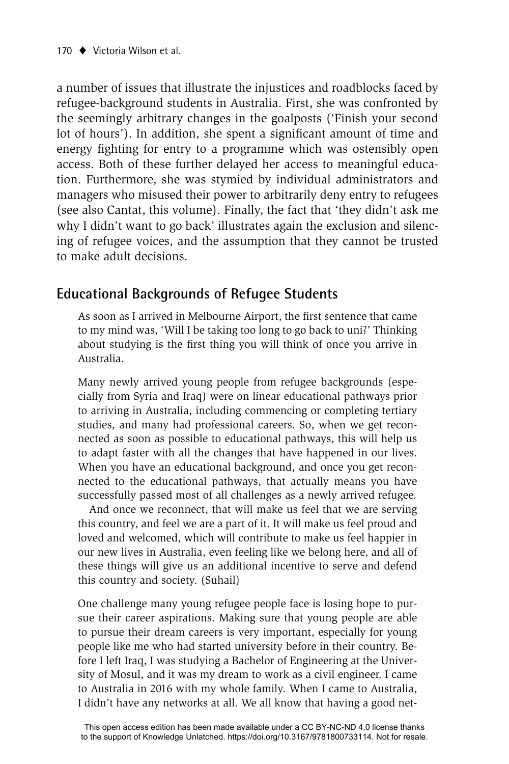a number of issues that illustrate the injustices and roadblocks faced by refugee-background students in Australia. First, she was confronted by the seemingly arbitrary changes in the goalposts ('Finish your second lot of hours'). In addition, she spent a significant amount of time and energy fighting for entry to a programme which was ostensibly open access. Both of these further delayed her access to meaningful education. Furthermore, she was stymied by individual administrators and managers who misused their power to arbitrarily deny entry to refugees (see also Cantat, this volume). Finally, the fact that 'they didn't ask me why I didn't want to go back' illustrates again the exclusion and silencing of refugee voices, and the assumption that they cannot be trusted to make adult decisions.

### **Educational Backgrounds of Refugee Students**

As soon as I arrived in Melbourne Airport, the first sentence that came to my mind was, 'Will I be taking too long to go back to uni?' Thinking about studying is the first thing you will think of once you arrive in Australia.

Many newly arrived young people from refugee backgrounds (especially from Syria and Iraq) were on linear educational pathways prior to arriving in Australia, including commencing or completing tertiary studies, and many had professional careers. So, when we get reconnected as soon as possible to educational pathways, this will help us to adapt faster with all the changes that have happened in our lives. When you have an educational background, and once you get reconnected to the educational pathways, that actually means you have successfully passed most of all challenges as a newly arrived refugee.

 And once we reconnect, that will make us feel that we are serving this country, and feel we are a part of it. It will make us feel proud and loved and welcomed, which will contribute to make us feel happier in our new lives in Australia, even feeling like we belong here, and all of these things will give us an additional incentive to serve and defend this country and society. (Suhail)

One challenge many young refugee people face is losing hope to pursue their career aspirations. Making sure that young people are able to pursue their dream careers is very important, especially for young people like me who had started university before in their country. Before I left Iraq, I was studying a Bachelor of Engineering at the University of Mosul, and it was my dream to work as a civil engineer. I came to Australia in 2016 with my whole family. When I came to Australia, I didn't have any networks at all. We all know that having a good net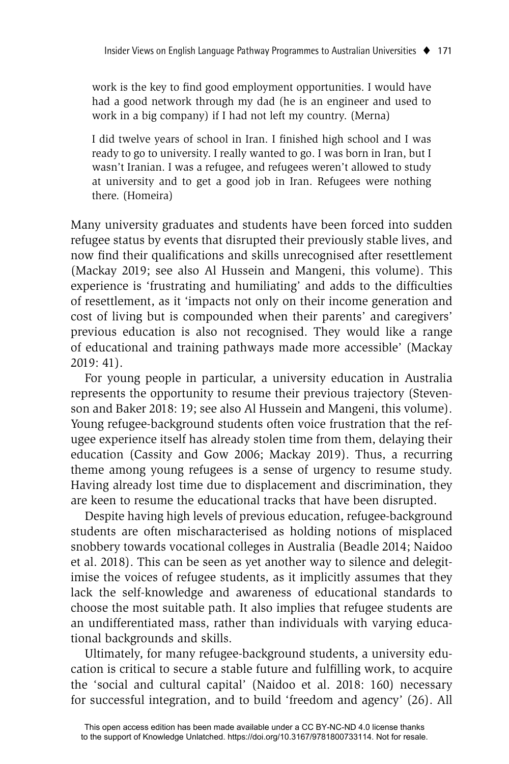work is the key to find good employment opportunities. I would have had a good network through my dad (he is an engineer and used to work in a big company) if I had not left my country. (Merna)

I did twelve years of school in Iran. I finished high school and I was ready to go to university. I really wanted to go. I was born in Iran, but I wasn't Iranian. I was a refugee, and refugees weren't allowed to study at university and to get a good job in Iran. Refugees were nothing there. (Homeira)

Many university graduates and students have been forced into sudden refugee status by events that disrupted their previously stable lives, and now find their qualifications and skills unrecognised after resettlement (Mackay 2019; see also Al Hussein and Mangeni, this volume). This experience is 'frustrating and humiliating' and adds to the difficulties of resettlement, as it 'impacts not only on their income generation and cost of living but is compounded when their parents' and caregivers' previous education is also not recognised. They would like a range of educational and training pathways made more accessible' (Mackay 2019: 41).

For young people in particular, a university education in Australia represents the opportunity to resume their previous trajectory (Stevenson and Baker 2018: 19; see also Al Hussein and Mangeni, this volume). Young refugee-background students often voice frustration that the refugee experience itself has already stolen time from them, delaying their education (Cassity and Gow 2006; Mackay 2019). Thus, a recurring theme among young refugees is a sense of urgency to resume study. Having already lost time due to displacement and discrimination, they are keen to resume the educational tracks that have been disrupted.

Despite having high levels of previous education, refugee-background students are often mischaracterised as holding notions of misplaced snobbery towards vocational colleges in Australia (Beadle 2014; Naidoo et al. 2018). This can be seen as yet another way to silence and delegitimise the voices of refugee students, as it implicitly assumes that they lack the self-knowledge and awareness of educational standards to choose the most suitable path. It also implies that refugee students are an undifferentiated mass, rather than individuals with varying educational backgrounds and skills.

Ultimately, for many refugee-background students, a university education is critical to secure a stable future and fulfilling work, to acquire the 'social and cultural capital' (Naidoo et al. 2018: 160) necessary for successful integration, and to build 'freedom and agency' (26). All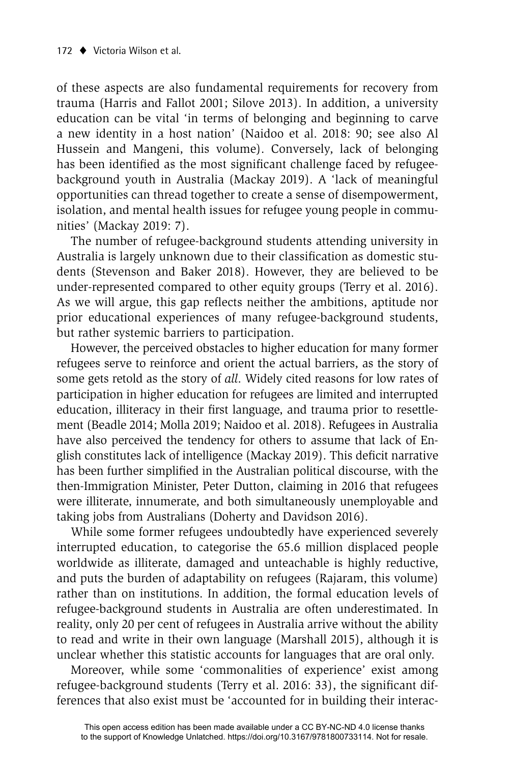of these aspects are also fundamental requirements for recovery from trauma (Harris and Fallot 2001; Silove 2013). In addition, a university education can be vital 'in terms of belonging and beginning to carve a new identity in a host nation' (Naidoo et al. 2018: 90; see also Al Hussein and Mangeni, this volume). Conversely, lack of belonging has been identified as the most significant challenge faced by refugeebackground youth in Australia (Mackay 2019). A 'lack of meaningful opportunities can thread together to create a sense of disempowerment, isolation, and mental health issues for refugee young people in communities' (Mackay 2019: 7).

The number of refugee-background students attending university in Australia is largely unknown due to their classification as domestic students (Stevenson and Baker 2018). However, they are believed to be under-represented compared to other equity groups (Terry et al. 2016). As we will argue, this gap reflects neither the ambitions, aptitude nor prior educational experiences of many refugee-background students, but rather systemic barriers to participation.

However, the perceived obstacles to higher education for many former refugees serve to reinforce and orient the actual barriers, as the story of some gets retold as the story of *all*. Widely cited reasons for low rates of participation in higher education for refugees are limited and interrupted education, illiteracy in their first language, and trauma prior to resettlement (Beadle 2014; Molla 2019; Naidoo et al. 2018). Refugees in Australia have also perceived the tendency for others to assume that lack of English constitutes lack of intelligence (Mackay 2019). This deficit narrative has been further simplified in the Australian political discourse, with the then-Immigration Minister, Peter Dutton, claiming in 2016 that refugees were illiterate, innumerate, and both simultaneously unemployable and taking jobs from Australians (Doherty and Davidson 2016).

While some former refugees undoubtedly have experienced severely interrupted education, to categorise the 65.6 million displaced people worldwide as illiterate, damaged and unteachable is highly reductive, and puts the burden of adaptability on refugees (Rajaram, this volume) rather than on institutions. In addition, the formal education levels of refugee-background students in Australia are often underestimated. In reality, only 20 per cent of refugees in Australia arrive without the ability to read and write in their own language (Marshall 2015), although it is unclear whether this statistic accounts for languages that are oral only.

Moreover, while some 'commonalities of experience' exist among refugee-background students (Terry et al. 2016: 33), the significant differences that also exist must be 'accounted for in building their interac-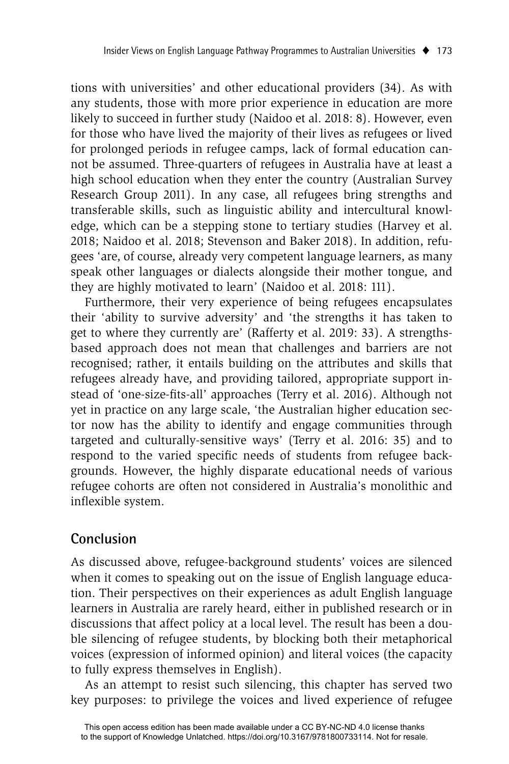tions with universities' and other educational providers (34). As with any students, those with more prior experience in education are more likely to succeed in further study (Naidoo et al. 2018: 8). However, even for those who have lived the majority of their lives as refugees or lived for prolonged periods in refugee camps, lack of formal education cannot be assumed. Three-quarters of refugees in Australia have at least a high school education when they enter the country (Australian Survey Research Group 2011). In any case, all refugees bring strengths and transferable skills, such as linguistic ability and intercultural knowledge, which can be a stepping stone to tertiary studies (Harvey et al. 2018; Naidoo et al. 2018; Stevenson and Baker 2018). In addition, refugees 'are, of course, already very competent language learners, as many speak other languages or dialects alongside their mother tongue, and they are highly motivated to learn' (Naidoo et al. 2018: 111).

Furthermore, their very experience of being refugees encapsulates their 'ability to survive adversity' and 'the strengths it has taken to get to where they currently are' (Rafferty et al. 2019: 33). A strengthsbased approach does not mean that challenges and barriers are not recognised; rather, it entails building on the attributes and skills that refugees already have, and providing tailored, appropriate support instead of 'one-size-fits-all' approaches (Terry et al. 2016). Although not yet in practice on any large scale, 'the Australian higher education sector now has the ability to identify and engage communities through targeted and culturally-sensitive ways' (Terry et al. 2016: 35) and to respond to the varied specific needs of students from refugee backgrounds. However, the highly disparate educational needs of various refugee cohorts are often not considered in Australia's monolithic and inflexible system.

## **Conclusion**

As discussed above, refugee-background students' voices are silenced when it comes to speaking out on the issue of English language education. Their perspectives on their experiences as adult English language learners in Australia are rarely heard, either in published research or in discussions that affect policy at a local level. The result has been a double silencing of refugee students, by blocking both their metaphorical voices (expression of informed opinion) and literal voices (the capacity to fully express themselves in English).

As an attempt to resist such silencing, this chapter has served two key purposes: to privilege the voices and lived experience of refugee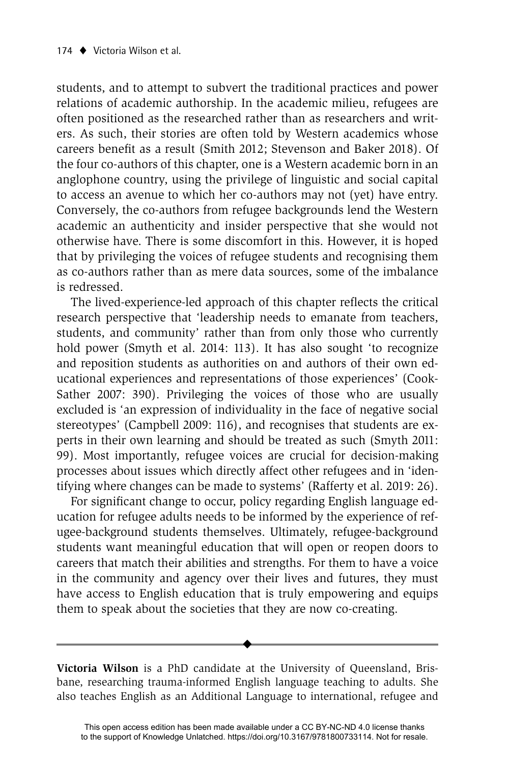students, and to attempt to subvert the traditional practices and power relations of academic authorship. In the academic milieu, refugees are often positioned as the researched rather than as researchers and writers. As such, their stories are often told by Western academics whose careers benefit as a result (Smith 2012; Stevenson and Baker 2018). Of the four co-authors of this chapter, one is a Western academic born in an anglophone country, using the privilege of linguistic and social capital to access an avenue to which her co-authors may not (yet) have entry. Conversely, the co-authors from refugee backgrounds lend the Western academic an authenticity and insider perspective that she would not otherwise have. There is some discomfort in this. However, it is hoped that by privileging the voices of refugee students and recognising them as co-authors rather than as mere data sources, some of the imbalance is redressed.

The lived-experience-led approach of this chapter reflects the critical research perspective that 'leadership needs to emanate from teachers, students, and community' rather than from only those who currently hold power (Smyth et al. 2014: 113). It has also sought 'to recognize and reposition students as authorities on and authors of their own educational experiences and representations of those experiences' (Cook-Sather 2007: 390). Privileging the voices of those who are usually excluded is 'an expression of individuality in the face of negative social stereotypes' (Campbell 2009: 116), and recognises that students are experts in their own learning and should be treated as such (Smyth 2011: 99). Most importantly, refugee voices are crucial for decision-making processes about issues which directly affect other refugees and in 'identifying where changes can be made to systems' (Rafferty et al. 2019: 26).

For significant change to occur, policy regarding English language education for refugee adults needs to be informed by the experience of refugee-background students themselves. Ultimately, refugee-background students want meaningful education that will open or reopen doors to careers that match their abilities and strengths. For them to have a voice in the community and agency over their lives and futures, they must have access to English education that is truly empowering and equips them to speak about the societies that they are now co-creating.

**Victoria Wilson** is a PhD candidate at the University of Queensland, Brisbane, researching trauma-informed English language teaching to adults. She also teaches English as an Additional Language to international, refugee and

 $\blacklozenge$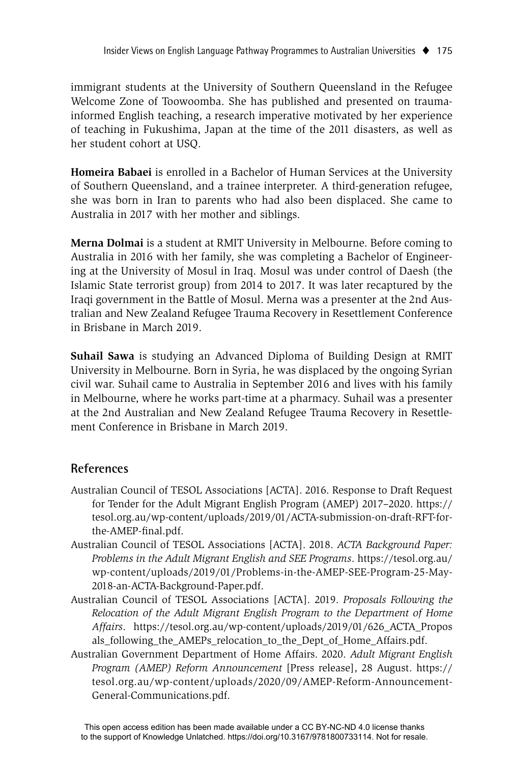immigrant students at the University of Southern Queensland in the Refugee Welcome Zone of Toowoomba. She has published and presented on traumainformed English teaching, a research imperative motivated by her experience of teaching in Fukushima, Japan at the time of the 2011 disasters, as well as her student cohort at USQ.

**Homeira Babaei** is enrolled in a Bachelor of Human Services at the University of Southern Queensland, and a trainee interpreter. A third-generation refugee, she was born in Iran to parents who had also been displaced. She came to Australia in 2017 with her mother and siblings.

**Merna Dolmai** is a student at RMIT University in Melbourne. Before coming to Australia in 2016 with her family, she was completing a Bachelor of Engineering at the University of Mosul in Iraq. Mosul was under control of Daesh (the Islamic State terrorist group) from 2014 to 2017. It was later recaptured by the Iraqi government in the Battle of Mosul. Merna was a presenter at the 2nd Australian and New Zealand Refugee Trauma Recovery in Resettlement Conference in Brisbane in March 2019.

**Suhail Sawa** is studying an Advanced Diploma of Building Design at RMIT University in Melbourne. Born in Syria, he was displaced by the ongoing Syrian civil war. Suhail came to Australia in September 2016 and lives with his family in Melbourne, where he works part-time at a pharmacy. Suhail was a presenter at the 2nd Australian and New Zealand Refugee Trauma Recovery in Resettlement Conference in Brisbane in March 2019.

#### **References**

- Australian Council of TESOL Associations [ACTA]. 2016. Response to Draft Request for Tender for the Adult Migrant English Program (AMEP) 2017–2020. https:// tesol.org.au/wp-content/uploads/2019/01/ACTA-submission-on-draft-RFT-forthe-AMEP-final.pdf.
- Australian Council of TESOL Associations [ACTA]. 2018. *ACTA Background Paper: Problems in the Adult Migrant English and SEE Programs*. https://tesol.org.au/ wp-content/uploads/2019/01/Problems-in-the-AMEP-SEE-Program-25-May-2018-an-ACTA-Background-Paper.pdf.
- Australian Council of TESOL Associations [ACTA]. 2019. *Proposals Following the Relocation of the Adult Migrant English Program to the Department of Home Affairs*. https://tesol.org.au/wp-content/uploads/2019/01/626\_ACTA\_Propos als\_following\_the\_AMEPs\_relocation\_to\_the\_Dept\_of\_Home\_Affairs.pdf.
- Australian Government Department of Home Affairs. 2020. *Adult Migrant English Program (AMEP) Reform Announcement* [Press release], 28 August. https:// tesol.org.au/wp-content/uploads/2020/09/AMEP-Reform-Announcement-General-Communications.pdf.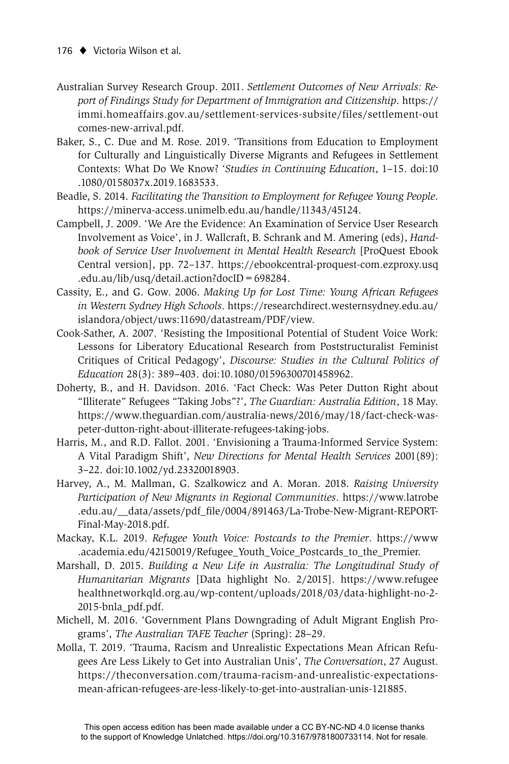- Australian Survey Research Group. 2011. *Settlement Outcomes of New Arrivals: Report of Findings Study for Department of Immigration and Citizenship*. https:// immi.homeaffairs.gov.au/settlement-services-subsite/files/settlement-out comes-new-arrival.pdf.
- Baker, S., C. Due and M. Rose. 2019. 'Transitions from Education to Employment for Culturally and Linguistically Diverse Migrants and Refugees in Settlement Contexts: What Do We Know? '*Studies in Continuing Education*, 1–15. doi:10 .1080/0158037x.2019.1683533.
- Beadle, S. 2014. *Facilitating the Transition to Employment for Refugee Young People*. https://minerva-access.unimelb.edu.au/handle/11343/45124.
- Campbell, J. 2009. 'We Are the Evidence: An Examination of Service User Research Involvement as Voice', in J. Wallcraft, B. Schrank and M. Amering (eds), *Handbook of Service User Involvement in Mental Health Research* [ProQuest Ebook Central version], pp. 72–137. https://ebookcentral-proquest-com.ezproxy.usq .edu.au/lib/usq/detail.action?docID=698284.
- Cassity, E., and G. Gow. 2006. *Making Up for Lost Time: Young African Refugees in Western Sydney High Schools*. https://researchdirect.westernsydney.edu.au/ islandora/object/uws:11690/datastream/PDF/view.
- Cook-Sather, A. 2007. 'Resisting the Impositional Potential of Student Voice Work: Lessons for Liberatory Educational Research from Poststructuralist Feminist Critiques of Critical Pedagogy', *Discourse: Studies in the Cultural Politics of Education* 28(3): 389–403. doi:10.1080/01596300701458962.
- Doherty, B., and H. Davidson. 2016. 'Fact Check: Was Peter Dutton Right about "Illiterate" Refugees "Taking Jobs"?', *The Guardian: Australia Edition*, 18 May. https://www.theguardian.com/australia-news/2016/may/18/fact-check-waspeter-dutton-right-about-illiterate-refugees-taking-jobs.
- Harris, M., and R.D. Fallot. 2001. 'Envisioning a Trauma-Informed Service System: A Vital Paradigm Shift', *New Directions for Mental Health Services* 2001(89): 3–22. doi:10.1002/yd.23320018903.
- Harvey, A., M. Mallman, G. Szalkowicz and A. Moran. 2018. *Raising University Participation of New Migrants in Regional Communities*. https://www.latrobe .edu.au/\_data/assets/pdf\_file/0004/891463/La-Trobe-New-Migrant-REPORT-Final-May-2018.pdf.
- Mackay, K.L. 2019. *Refugee Youth Voice: Postcards to the Premier*. https://www .academia.edu/42150019/Refugee\_Youth\_Voice\_Postcards\_to\_the\_Premier.
- Marshall, D. 2015. *Building a New Life in Australia: The Longitudinal Study of Humanitarian Migrants* [Data highlight No. 2/2015]. https://www.refugee healthnetworkqld.org.au/wp-content/uploads/2018/03/data-highlight-no-2- 2015-bnla\_pdf.pdf.
- Michell, M. 2016. 'Government Plans Downgrading of Adult Migrant English Programs', *The Australian TAFE Teacher* (Spring): 28–29.
- Molla, T. 2019. 'Trauma, Racism and Unrealistic Expectations Mean African Refugees Are Less Likely to Get into Australian Unis', *The Conversation*, 27 August. https://theconversation.com/trauma-racism-and-unrealistic-expectationsmean-african-refugees-are-less-likely-to-get-into-australian-unis-121885.